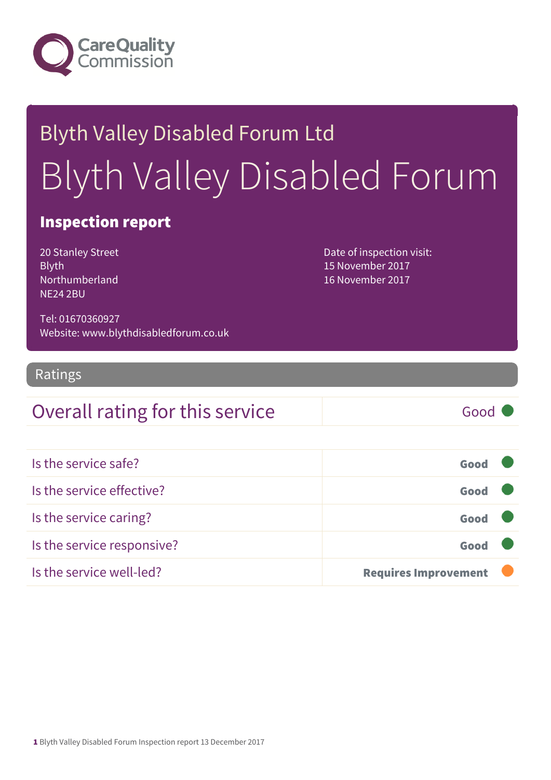

# Blyth Valley Disabled Forum Ltd Blyth Valley Disabled Forum

#### Inspection report

20 Stanley Street Blyth Northumberland NE24 2BU

Date of inspection visit: 15 November 2017 16 November 2017

Tel: 01670360927 Website: www.blythdisabledforum.co.uk

#### Ratings

#### Overall rating for this service Good

| Is the service safe?       | Good                        |  |
|----------------------------|-----------------------------|--|
| Is the service effective?  | Good                        |  |
| Is the service caring?     | Good                        |  |
| Is the service responsive? | Good                        |  |
| Is the service well-led?   | <b>Requires Improvement</b> |  |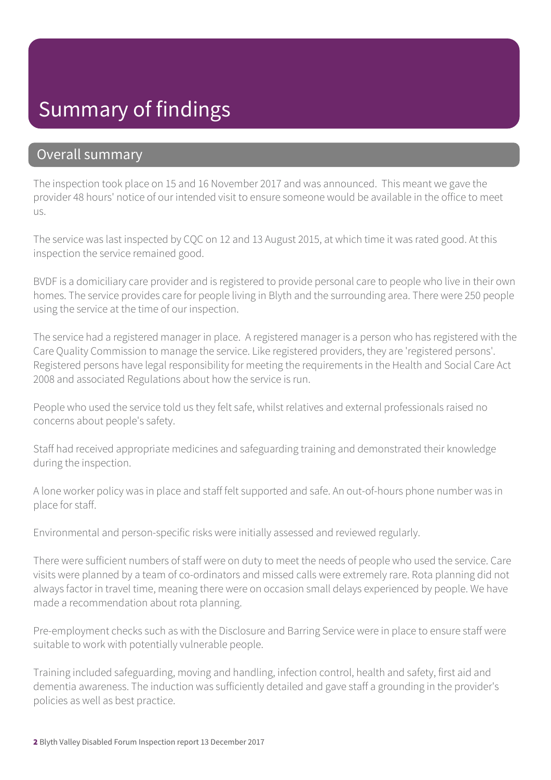### Summary of findings

#### Overall summary

The inspection took place on 15 and 16 November 2017 and was announced. This meant we gave the provider 48 hours' notice of our intended visit to ensure someone would be available in the office to meet us.

The service was last inspected by CQC on 12 and 13 August 2015, at which time it was rated good. At this inspection the service remained good.

BVDF is a domiciliary care provider and is registered to provide personal care to people who live in their own homes. The service provides care for people living in Blyth and the surrounding area. There were 250 people using the service at the time of our inspection.

The service had a registered manager in place. A registered manager is a person who has registered with the Care Quality Commission to manage the service. Like registered providers, they are 'registered persons'. Registered persons have legal responsibility for meeting the requirements in the Health and Social Care Act 2008 and associated Regulations about how the service is run.

People who used the service told us they felt safe, whilst relatives and external professionals raised no concerns about people's safety.

Staff had received appropriate medicines and safeguarding training and demonstrated their knowledge during the inspection.

A lone worker policy was in place and staff felt supported and safe. An out-of-hours phone number was in place for staff.

Environmental and person-specific risks were initially assessed and reviewed regularly.

There were sufficient numbers of staff were on duty to meet the needs of people who used the service. Care visits were planned by a team of co-ordinators and missed calls were extremely rare. Rota planning did not always factor in travel time, meaning there were on occasion small delays experienced by people. We have made a recommendation about rota planning.

Pre-employment checks such as with the Disclosure and Barring Service were in place to ensure staff were suitable to work with potentially vulnerable people.

Training included safeguarding, moving and handling, infection control, health and safety, first aid and dementia awareness. The induction was sufficiently detailed and gave staff a grounding in the provider's policies as well as best practice.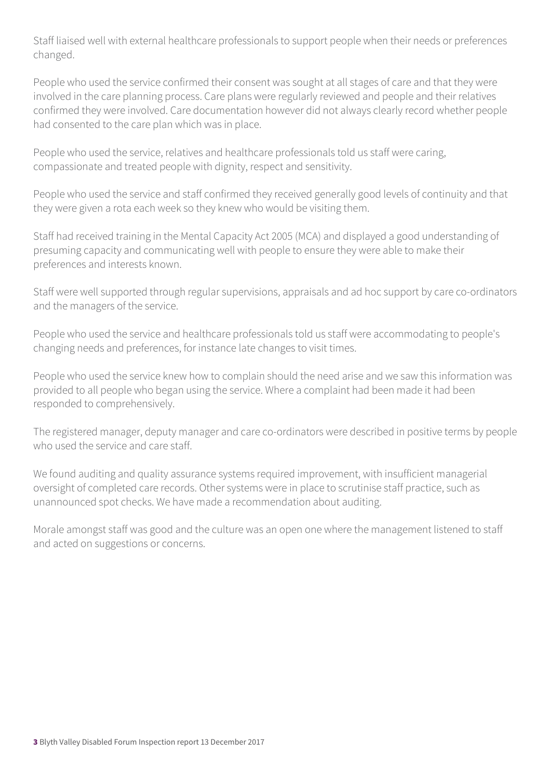Staff liaised well with external healthcare professionals to support people when their needs or preferences changed.

People who used the service confirmed their consent was sought at all stages of care and that they were involved in the care planning process. Care plans were regularly reviewed and people and their relatives confirmed they were involved. Care documentation however did not always clearly record whether people had consented to the care plan which was in place.

People who used the service, relatives and healthcare professionals told us staff were caring, compassionate and treated people with dignity, respect and sensitivity.

People who used the service and staff confirmed they received generally good levels of continuity and that they were given a rota each week so they knew who would be visiting them.

Staff had received training in the Mental Capacity Act 2005 (MCA) and displayed a good understanding of presuming capacity and communicating well with people to ensure they were able to make their preferences and interests known.

Staff were well supported through regular supervisions, appraisals and ad hoc support by care co-ordinators and the managers of the service.

People who used the service and healthcare professionals told us staff were accommodating to people's changing needs and preferences, for instance late changes to visit times.

People who used the service knew how to complain should the need arise and we saw this information was provided to all people who began using the service. Where a complaint had been made it had been responded to comprehensively.

The registered manager, deputy manager and care co-ordinators were described in positive terms by people who used the service and care staff.

We found auditing and quality assurance systems required improvement, with insufficient managerial oversight of completed care records. Other systems were in place to scrutinise staff practice, such as unannounced spot checks. We have made a recommendation about auditing.

Morale amongst staff was good and the culture was an open one where the management listened to staff and acted on suggestions or concerns.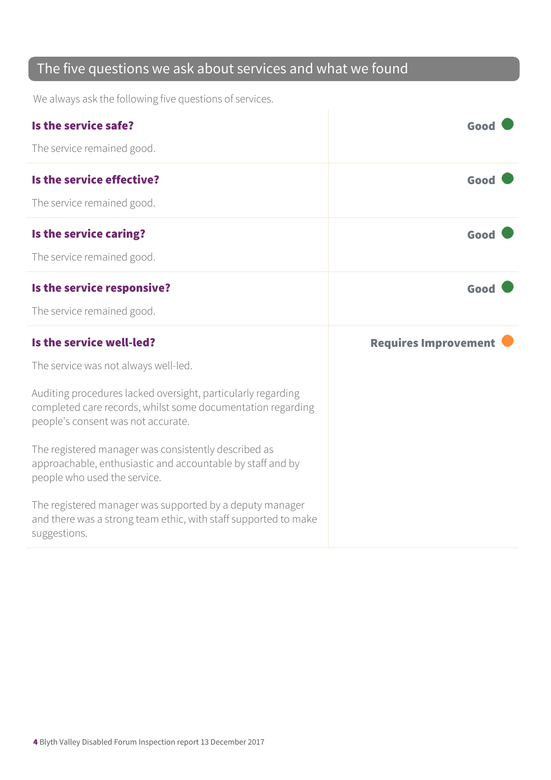#### The five questions we ask about services and what we found

We always ask the following five questions of services.

| Is the service safe?                                                                                                                                              | Good                        |
|-------------------------------------------------------------------------------------------------------------------------------------------------------------------|-----------------------------|
| The service remained good.                                                                                                                                        |                             |
| Is the service effective?                                                                                                                                         | Good                        |
| The service remained good.                                                                                                                                        |                             |
| Is the service caring?                                                                                                                                            | Good                        |
| The service remained good.                                                                                                                                        |                             |
| Is the service responsive?                                                                                                                                        | Good                        |
| The service remained good.                                                                                                                                        |                             |
|                                                                                                                                                                   |                             |
| Is the service well-led?                                                                                                                                          | <b>Requires Improvement</b> |
| The service was not always well-led.                                                                                                                              |                             |
| Auditing procedures lacked oversight, particularly regarding<br>completed care records, whilst some documentation regarding<br>people's consent was not accurate. |                             |
| The registered manager was consistently described as<br>approachable, enthusiastic and accountable by staff and by<br>people who used the service.                |                             |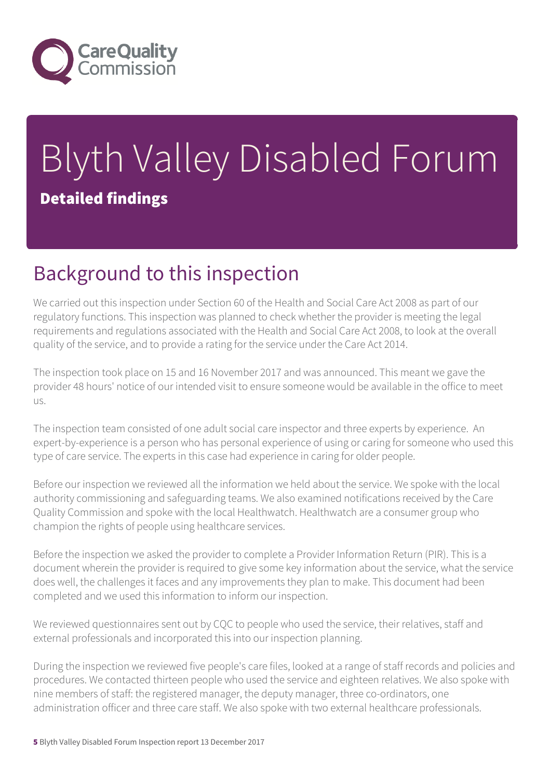

# Blyth Valley Disabled Forum Detailed findings

# Background to this inspection

We carried out this inspection under Section 60 of the Health and Social Care Act 2008 as part of our regulatory functions. This inspection was planned to check whether the provider is meeting the legal requirements and regulations associated with the Health and Social Care Act 2008, to look at the overall quality of the service, and to provide a rating for the service under the Care Act 2014.

The inspection took place on 15 and 16 November 2017 and was announced. This meant we gave the provider 48 hours' notice of our intended visit to ensure someone would be available in the office to meet us.

The inspection team consisted of one adult social care inspector and three experts by experience. An expert-by-experience is a person who has personal experience of using or caring for someone who used this type of care service. The experts in this case had experience in caring for older people.

Before our inspection we reviewed all the information we held about the service. We spoke with the local authority commissioning and safeguarding teams. We also examined notifications received by the Care Quality Commission and spoke with the local Healthwatch. Healthwatch are a consumer group who champion the rights of people using healthcare services.

Before the inspection we asked the provider to complete a Provider Information Return (PIR). This is a document wherein the provider is required to give some key information about the service, what the service does well, the challenges it faces and any improvements they plan to make. This document had been completed and we used this information to inform our inspection.

We reviewed questionnaires sent out by CQC to people who used the service, their relatives, staff and external professionals and incorporated this into our inspection planning.

During the inspection we reviewed five people's care files, looked at a range of staff records and policies and procedures. We contacted thirteen people who used the service and eighteen relatives. We also spoke with nine members of staff: the registered manager, the deputy manager, three co-ordinators, one administration officer and three care staff. We also spoke with two external healthcare professionals.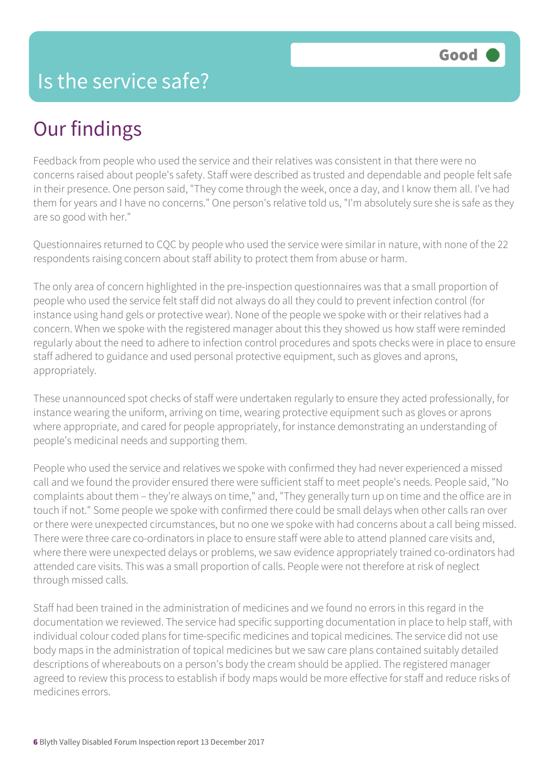# Our findings

Feedback from people who used the service and their relatives was consistent in that there were no concerns raised about people's safety. Staff were described as trusted and dependable and people felt safe in their presence. One person said, "They come through the week, once a day, and I know them all. I've had them for years and I have no concerns." One person's relative told us, "I'm absolutely sure she is safe as they are so good with her."

Questionnaires returned to CQC by people who used the service were similar in nature, with none of the 22 respondents raising concern about staff ability to protect them from abuse or harm.

The only area of concern highlighted in the pre-inspection questionnaires was that a small proportion of people who used the service felt staff did not always do all they could to prevent infection control (for instance using hand gels or protective wear). None of the people we spoke with or their relatives had a concern. When we spoke with the registered manager about this they showed us how staff were reminded regularly about the need to adhere to infection control procedures and spots checks were in place to ensure staff adhered to guidance and used personal protective equipment, such as gloves and aprons, appropriately.

These unannounced spot checks of staff were undertaken regularly to ensure they acted professionally, for instance wearing the uniform, arriving on time, wearing protective equipment such as gloves or aprons where appropriate, and cared for people appropriately, for instance demonstrating an understanding of people's medicinal needs and supporting them.

People who used the service and relatives we spoke with confirmed they had never experienced a missed call and we found the provider ensured there were sufficient staff to meet people's needs. People said, "No complaints about them – they're always on time," and, "They generally turn up on time and the office are in touch if not." Some people we spoke with confirmed there could be small delays when other calls ran over or there were unexpected circumstances, but no one we spoke with had concerns about a call being missed. There were three care co-ordinators in place to ensure staff were able to attend planned care visits and, where there were unexpected delays or problems, we saw evidence appropriately trained co-ordinators had attended care visits. This was a small proportion of calls. People were not therefore at risk of neglect through missed calls.

Staff had been trained in the administration of medicines and we found no errors in this regard in the documentation we reviewed. The service had specific supporting documentation in place to help staff, with individual colour coded plans for time-specific medicines and topical medicines. The service did not use body maps in the administration of topical medicines but we saw care plans contained suitably detailed descriptions of whereabouts on a person's body the cream should be applied. The registered manager agreed to review this process to establish if body maps would be more effective for staff and reduce risks of medicines errors.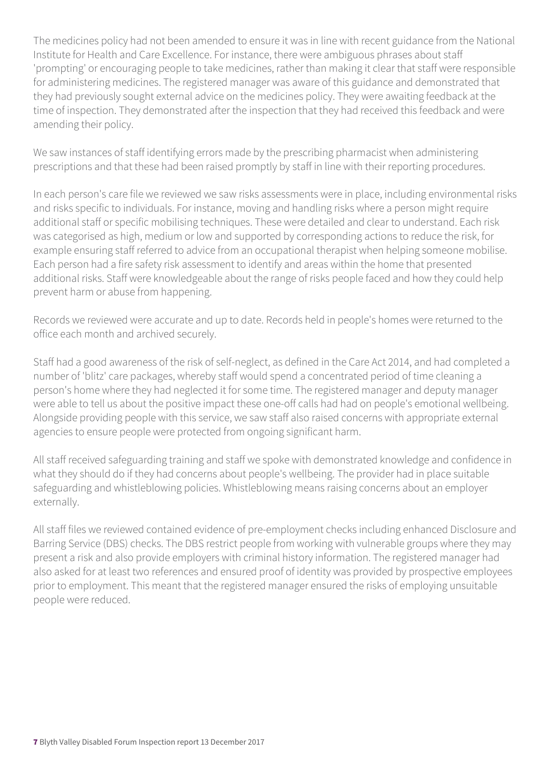The medicines policy had not been amended to ensure it was in line with recent guidance from the National Institute for Health and Care Excellence. For instance, there were ambiguous phrases about staff 'prompting' or encouraging people to take medicines, rather than making it clear that staff were responsible for administering medicines. The registered manager was aware of this guidance and demonstrated that they had previously sought external advice on the medicines policy. They were awaiting feedback at the time of inspection. They demonstrated after the inspection that they had received this feedback and were amending their policy.

We saw instances of staff identifying errors made by the prescribing pharmacist when administering prescriptions and that these had been raised promptly by staff in line with their reporting procedures.

In each person's care file we reviewed we saw risks assessments were in place, including environmental risks and risks specific to individuals. For instance, moving and handling risks where a person might require additional staff or specific mobilising techniques. These were detailed and clear to understand. Each risk was categorised as high, medium or low and supported by corresponding actions to reduce the risk, for example ensuring staff referred to advice from an occupational therapist when helping someone mobilise. Each person had a fire safety risk assessment to identify and areas within the home that presented additional risks. Staff were knowledgeable about the range of risks people faced and how they could help prevent harm or abuse from happening.

Records we reviewed were accurate and up to date. Records held in people's homes were returned to the office each month and archived securely.

Staff had a good awareness of the risk of self-neglect, as defined in the Care Act 2014, and had completed a number of 'blitz' care packages, whereby staff would spend a concentrated period of time cleaning a person's home where they had neglected it for some time. The registered manager and deputy manager were able to tell us about the positive impact these one-off calls had had on people's emotional wellbeing. Alongside providing people with this service, we saw staff also raised concerns with appropriate external agencies to ensure people were protected from ongoing significant harm.

All staff received safeguarding training and staff we spoke with demonstrated knowledge and confidence in what they should do if they had concerns about people's wellbeing. The provider had in place suitable safeguarding and whistleblowing policies. Whistleblowing means raising concerns about an employer externally.

All staff files we reviewed contained evidence of pre-employment checks including enhanced Disclosure and Barring Service (DBS) checks. The DBS restrict people from working with vulnerable groups where they may present a risk and also provide employers with criminal history information. The registered manager had also asked for at least two references and ensured proof of identity was provided by prospective employees prior to employment. This meant that the registered manager ensured the risks of employing unsuitable people were reduced.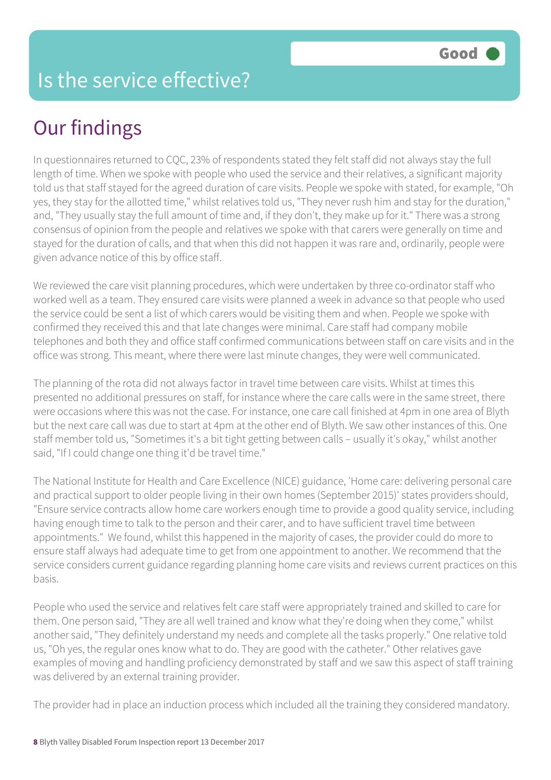# Our findings

In questionnaires returned to CQC, 23% of respondents stated they felt staff did not always stay the full length of time. When we spoke with people who used the service and their relatives, a significant majority told us that staff stayed for the agreed duration of care visits. People we spoke with stated, for example, "Oh yes, they stay for the allotted time," whilst relatives told us, "They never rush him and stay for the duration," and, "They usually stay the full amount of time and, if they don't, they make up for it." There was a strong consensus of opinion from the people and relatives we spoke with that carers were generally on time and stayed for the duration of calls, and that when this did not happen it was rare and, ordinarily, people were given advance notice of this by office staff.

We reviewed the care visit planning procedures, which were undertaken by three co-ordinator staff who worked well as a team. They ensured care visits were planned a week in advance so that people who used the service could be sent a list of which carers would be visiting them and when. People we spoke with confirmed they received this and that late changes were minimal. Care staff had company mobile telephones and both they and office staff confirmed communications between staff on care visits and in the office was strong. This meant, where there were last minute changes, they were well communicated.

The planning of the rota did not always factor in travel time between care visits. Whilst at times this presented no additional pressures on staff, for instance where the care calls were in the same street, there were occasions where this was not the case. For instance, one care call finished at 4pm in one area of Blyth but the next care call was due to start at 4pm at the other end of Blyth. We saw other instances of this. One staff member told us, "Sometimes it's a bit tight getting between calls – usually it's okay," whilst another said, "If I could change one thing it'd be travel time."

The National Institute for Health and Care Excellence (NICE) guidance, 'Home care: delivering personal care and practical support to older people living in their own homes (September 2015)' states providers should, "Ensure service contracts allow home care workers enough time to provide a good quality service, including having enough time to talk to the person and their carer, and to have sufficient travel time between appointments." We found, whilst this happened in the majority of cases, the provider could do more to ensure staff always had adequate time to get from one appointment to another. We recommend that the service considers current guidance regarding planning home care visits and reviews current practices on this basis.

People who used the service and relatives felt care staff were appropriately trained and skilled to care for them. One person said, "They are all well trained and know what they're doing when they come," whilst another said, "They definitely understand my needs and complete all the tasks properly." One relative told us, "Oh yes, the regular ones know what to do. They are good with the catheter." Other relatives gave examples of moving and handling proficiency demonstrated by staff and we saw this aspect of staff training was delivered by an external training provider.

The provider had in place an induction process which included all the training they considered mandatory.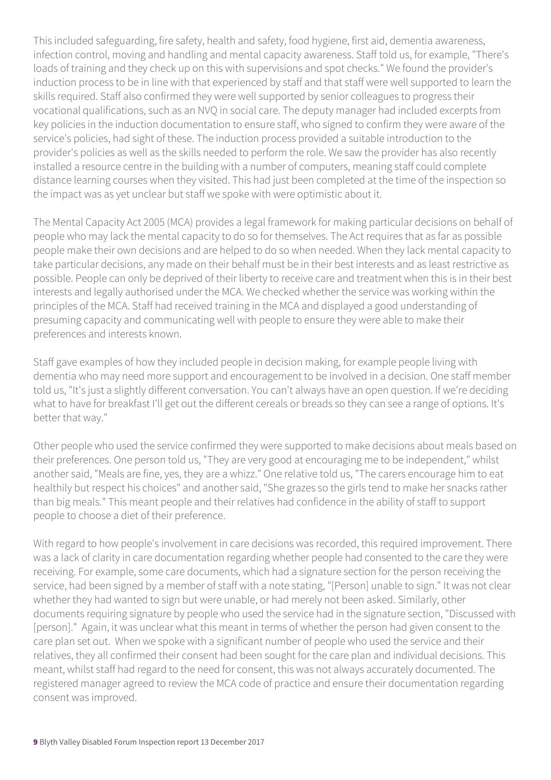This included safeguarding, fire safety, health and safety, food hygiene, first aid, dementia awareness, infection control, moving and handling and mental capacity awareness. Staff told us, for example, "There's loads of training and they check up on this with supervisions and spot checks." We found the provider's induction process to be in line with that experienced by staff and that staff were well supported to learn the skills required. Staff also confirmed they were well supported by senior colleagues to progress their vocational qualifications, such as an NVQ in social care. The deputy manager had included excerpts from key policies in the induction documentation to ensure staff, who signed to confirm they were aware of the service's policies, had sight of these. The induction process provided a suitable introduction to the provider's policies as well as the skills needed to perform the role. We saw the provider has also recently installed a resource centre in the building with a number of computers, meaning staff could complete distance learning courses when they visited. This had just been completed at the time of the inspection so the impact was as yet unclear but staff we spoke with were optimistic about it.

The Mental Capacity Act 2005 (MCA) provides a legal framework for making particular decisions on behalf of people who may lack the mental capacity to do so for themselves. The Act requires that as far as possible people make their own decisions and are helped to do so when needed. When they lack mental capacity to take particular decisions, any made on their behalf must be in their best interests and as least restrictive as possible. People can only be deprived of their liberty to receive care and treatment when this is in their best interests and legally authorised under the MCA. We checked whether the service was working within the principles of the MCA. Staff had received training in the MCA and displayed a good understanding of presuming capacity and communicating well with people to ensure they were able to make their preferences and interests known.

Staff gave examples of how they included people in decision making, for example people living with dementia who may need more support and encouragement to be involved in a decision. One staff member told us, "It's just a slightly different conversation. You can't always have an open question. If we're deciding what to have for breakfast I'll get out the different cereals or breads so they can see a range of options. It's better that way."

Other people who used the service confirmed they were supported to make decisions about meals based on their preferences. One person told us, "They are very good at encouraging me to be independent," whilst another said, "Meals are fine, yes, they are a whizz." One relative told us, "The carers encourage him to eat healthily but respect his choices" and another said, "She grazes so the girls tend to make her snacks rather than big meals." This meant people and their relatives had confidence in the ability of staff to support people to choose a diet of their preference.

With regard to how people's involvement in care decisions was recorded, this required improvement. There was a lack of clarity in care documentation regarding whether people had consented to the care they were receiving. For example, some care documents, which had a signature section for the person receiving the service, had been signed by a member of staff with a note stating, "[Person] unable to sign." It was not clear whether they had wanted to sign but were unable, or had merely not been asked. Similarly, other documents requiring signature by people who used the service had in the signature section, "Discussed with [person]." Again, it was unclear what this meant in terms of whether the person had given consent to the care plan set out. When we spoke with a significant number of people who used the service and their relatives, they all confirmed their consent had been sought for the care plan and individual decisions. This meant, whilst staff had regard to the need for consent, this was not always accurately documented. The registered manager agreed to review the MCA code of practice and ensure their documentation regarding consent was improved.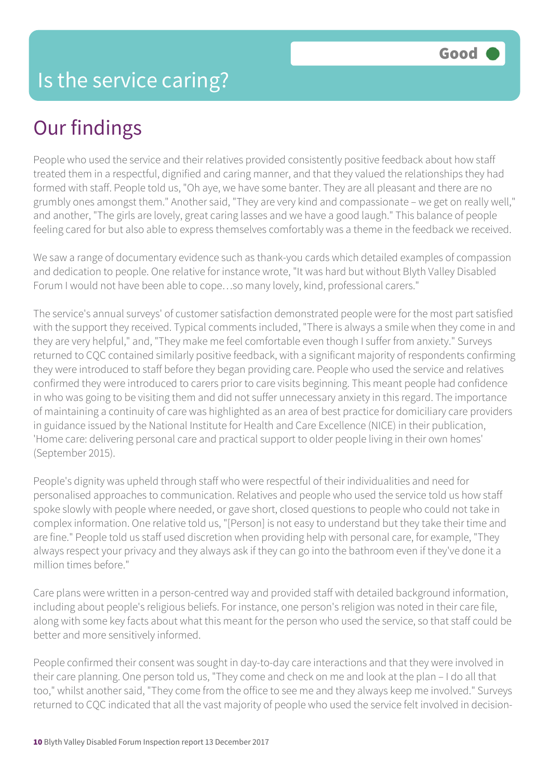## Our findings

People who used the service and their relatives provided consistently positive feedback about how staff treated them in a respectful, dignified and caring manner, and that they valued the relationships they had formed with staff. People told us, "Oh aye, we have some banter. They are all pleasant and there are no grumbly ones amongst them." Another said, "They are very kind and compassionate – we get on really well," and another, "The girls are lovely, great caring lasses and we have a good laugh." This balance of people feeling cared for but also able to express themselves comfortably was a theme in the feedback we received.

We saw a range of documentary evidence such as thank-you cards which detailed examples of compassion and dedication to people. One relative for instance wrote, "It was hard but without Blyth Valley Disabled Forum I would not have been able to cope…so many lovely, kind, professional carers."

The service's annual surveys' of customer satisfaction demonstrated people were for the most part satisfied with the support they received. Typical comments included, "There is always a smile when they come in and they are very helpful," and, "They make me feel comfortable even though I suffer from anxiety." Surveys returned to CQC contained similarly positive feedback, with a significant majority of respondents confirming they were introduced to staff before they began providing care. People who used the service and relatives confirmed they were introduced to carers prior to care visits beginning. This meant people had confidence in who was going to be visiting them and did not suffer unnecessary anxiety in this regard. The importance of maintaining a continuity of care was highlighted as an area of best practice for domiciliary care providers in guidance issued by the National Institute for Health and Care Excellence (NICE) in their publication, 'Home care: delivering personal care and practical support to older people living in their own homes' (September 2015).

People's dignity was upheld through staff who were respectful of their individualities and need for personalised approaches to communication. Relatives and people who used the service told us how staff spoke slowly with people where needed, or gave short, closed questions to people who could not take in complex information. One relative told us, "[Person] is not easy to understand but they take their time and are fine." People told us staff used discretion when providing help with personal care, for example, "They always respect your privacy and they always ask if they can go into the bathroom even if they've done it a million times hefore."

Care plans were written in a person-centred way and provided staff with detailed background information, including about people's religious beliefs. For instance, one person's religion was noted in their care file, along with some key facts about what this meant for the person who used the service, so that staff could be better and more sensitively informed.

People confirmed their consent was sought in day-to-day care interactions and that they were involved in their care planning. One person told us, "They come and check on me and look at the plan – I do all that too," whilst another said, "They come from the office to see me and they always keep me involved." Surveys returned to CQC indicated that all the vast majority of people who used the service felt involved in decision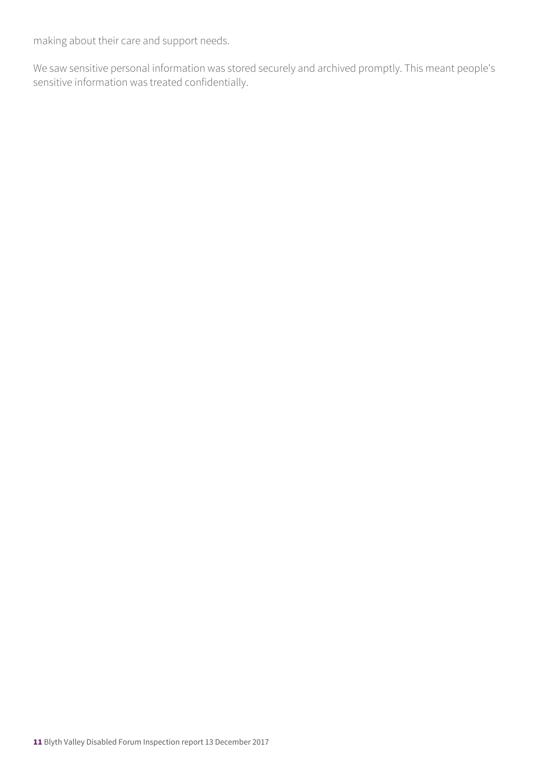making about their care and support needs.

We saw sensitive personal information was stored securely and archived promptly. This meant people's sensitive information was treated confidentially.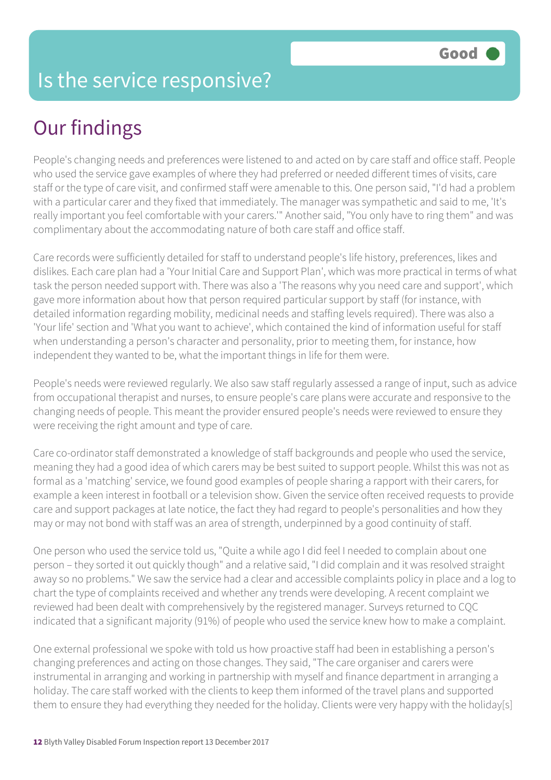#### Is the service responsive?

# Our findings

People's changing needs and preferences were listened to and acted on by care staff and office staff. People who used the service gave examples of where they had preferred or needed different times of visits, care staff or the type of care visit, and confirmed staff were amenable to this. One person said, "I'd had a problem with a particular carer and they fixed that immediately. The manager was sympathetic and said to me, 'It's really important you feel comfortable with your carers.'" Another said, "You only have to ring them" and was complimentary about the accommodating nature of both care staff and office staff.

Care records were sufficiently detailed for staff to understand people's life history, preferences, likes and dislikes. Each care plan had a 'Your Initial Care and Support Plan', which was more practical in terms of what task the person needed support with. There was also a 'The reasons why you need care and support', which gave more information about how that person required particular support by staff (for instance, with detailed information regarding mobility, medicinal needs and staffing levels required). There was also a 'Your life' section and 'What you want to achieve', which contained the kind of information useful for staff when understanding a person's character and personality, prior to meeting them, for instance, how independent they wanted to be, what the important things in life for them were.

People's needs were reviewed regularly. We also saw staff regularly assessed a range of input, such as advice from occupational therapist and nurses, to ensure people's care plans were accurate and responsive to the changing needs of people. This meant the provider ensured people's needs were reviewed to ensure they were receiving the right amount and type of care.

Care co-ordinator staff demonstrated a knowledge of staff backgrounds and people who used the service, meaning they had a good idea of which carers may be best suited to support people. Whilst this was not as formal as a 'matching' service, we found good examples of people sharing a rapport with their carers, for example a keen interest in football or a television show. Given the service often received requests to provide care and support packages at late notice, the fact they had regard to people's personalities and how they may or may not bond with staff was an area of strength, underpinned by a good continuity of staff.

One person who used the service told us, "Quite a while ago I did feel I needed to complain about one person – they sorted it out quickly though" and a relative said, "I did complain and it was resolved straight away so no problems." We saw the service had a clear and accessible complaints policy in place and a log to chart the type of complaints received and whether any trends were developing. A recent complaint we reviewed had been dealt with comprehensively by the registered manager. Surveys returned to CQC indicated that a significant majority (91%) of people who used the service knew how to make a complaint.

One external professional we spoke with told us how proactive staff had been in establishing a person's changing preferences and acting on those changes. They said, "The care organiser and carers were instrumental in arranging and working in partnership with myself and finance department in arranging a holiday. The care staff worked with the clients to keep them informed of the travel plans and supported them to ensure they had everything they needed for the holiday. Clients were very happy with the holiday[s]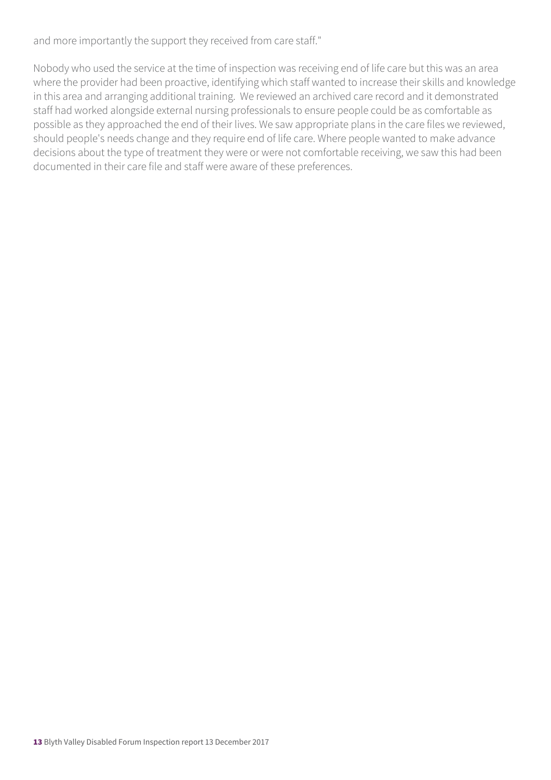and more importantly the support they received from care staff."

Nobody who used the service at the time of inspection was receiving end of life care but this was an area where the provider had been proactive, identifying which staff wanted to increase their skills and knowledge in this area and arranging additional training. We reviewed an archived care record and it demonstrated staff had worked alongside external nursing professionals to ensure people could be as comfortable as possible as they approached the end of their lives. We saw appropriate plans in the care files we reviewed, should people's needs change and they require end of life care. Where people wanted to make advance decisions about the type of treatment they were or were not comfortable receiving, we saw this had been documented in their care file and staff were aware of these preferences.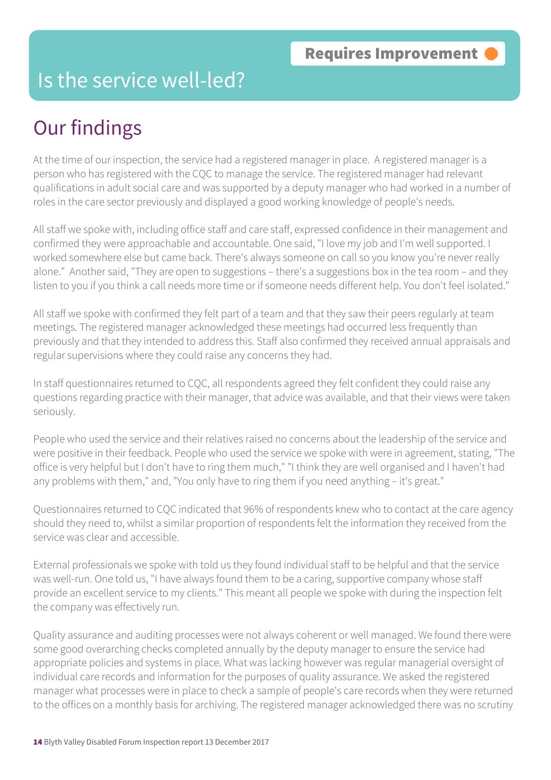#### Is the service well-led?

# Our findings

At the time of our inspection, the service had a registered manager in place. A registered manager is a person who has registered with the CQC to manage the service. The registered manager had relevant qualifications in adult social care and was supported by a deputy manager who had worked in a number of roles in the care sector previously and displayed a good working knowledge of people's needs.

All staff we spoke with, including office staff and care staff, expressed confidence in their management and confirmed they were approachable and accountable. One said, "I love my job and I'm well supported. I worked somewhere else but came back. There's always someone on call so you know you're never really alone." Another said, "They are open to suggestions – there's a suggestions box in the tea room – and they listen to you if you think a call needs more time or if someone needs different help. You don't feel isolated."

All staff we spoke with confirmed they felt part of a team and that they saw their peers regularly at team meetings. The registered manager acknowledged these meetings had occurred less frequently than previously and that they intended to address this. Staff also confirmed they received annual appraisals and regular supervisions where they could raise any concerns they had.

In staff questionnaires returned to CQC, all respondents agreed they felt confident they could raise any questions regarding practice with their manager, that advice was available, and that their views were taken seriously.

People who used the service and their relatives raised no concerns about the leadership of the service and were positive in their feedback. People who used the service we spoke with were in agreement, stating, "The office is very helpful but I don't have to ring them much," "I think they are well organised and I haven't had any problems with them," and, "You only have to ring them if you need anything – it's great."

Questionnaires returned to CQC indicated that 96% of respondents knew who to contact at the care agency should they need to, whilst a similar proportion of respondents felt the information they received from the service was clear and accessible.

External professionals we spoke with told us they found individual staff to be helpful and that the service was well-run. One told us, "I have always found them to be a caring, supportive company whose staff provide an excellent service to my clients." This meant all people we spoke with during the inspection felt the company was effectively run.

Quality assurance and auditing processes were not always coherent or well managed. We found there were some good overarching checks completed annually by the deputy manager to ensure the service had appropriate policies and systems in place. What was lacking however was regular managerial oversight of individual care records and information for the purposes of quality assurance. We asked the registered manager what processes were in place to check a sample of people's care records when they were returned to the offices on a monthly basis for archiving. The registered manager acknowledged there was no scrutiny